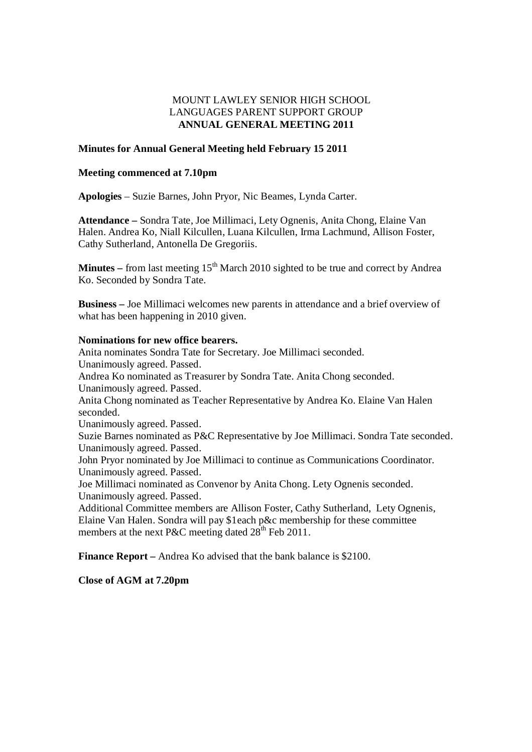# MOUNT LAWLEY SENIOR HIGH SCHOOL LANGUAGES PARENT SUPPORT GROUP **ANNUAL GENERAL MEETING 2011**

#### **Minutes for Annual General Meeting held February 15 2011**

#### **Meeting commenced at 7.10pm**

**Apologies** – Suzie Barnes, John Pryor, Nic Beames, Lynda Carter.

**Attendance –** Sondra Tate, Joe Millimaci, Lety Ognenis, Anita Chong, Elaine Van Halen. Andrea Ko, Niall Kilcullen, Luana Kilcullen, Irma Lachmund, Allison Foster, Cathy Sutherland, Antonella De Gregoriis.

**Minutes** – from last meeting  $15<sup>th</sup>$  March 2010 sighted to be true and correct by Andrea Ko. Seconded by Sondra Tate.

**Business –** Joe Millimaci welcomes new parents in attendance and a brief overview of what has been happening in 2010 given.

#### **Nominations for new office bearers.**

Anita nominates Sondra Tate for Secretary. Joe Millimaci seconded. Unanimously agreed. Passed. Andrea Ko nominated as Treasurer by Sondra Tate. Anita Chong seconded. Unanimously agreed. Passed. Anita Chong nominated as Teacher Representative by Andrea Ko. Elaine Van Halen seconded. Unanimously agreed. Passed. Suzie Barnes nominated as P&C Representative by Joe Millimaci. Sondra Tate seconded. Unanimously agreed. Passed. John Pryor nominated by Joe Millimaci to continue as Communications Coordinator. Unanimously agreed. Passed. Joe Millimaci nominated as Convenor by Anita Chong. Lety Ognenis seconded. Unanimously agreed. Passed. Additional Committee members are Allison Foster, Cathy Sutherland, Lety Ognenis, Elaine Van Halen. Sondra will pay \$1each p&c membership for these committee members at the next P&C meeting dated  $28<sup>th</sup>$  Feb 2011.

**Finance Report** – Andrea Ko advised that the bank balance is \$2100.

**Close of AGM at 7.20pm**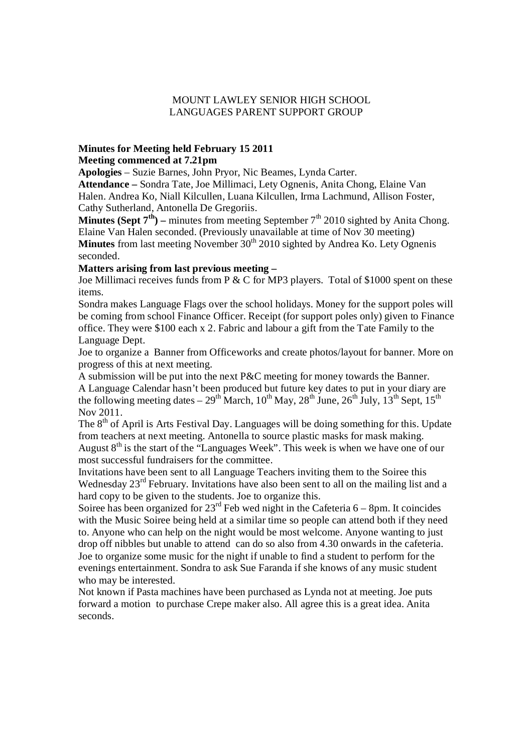# MOUNT LAWLEY SENIOR HIGH SCHOOL LANGUAGES PARENT SUPPORT GROUP

# **Minutes for Meeting held February 15 2011**

# **Meeting commenced at 7.21pm**

**Apologies** – Suzie Barnes, John Pryor, Nic Beames, Lynda Carter.

**Attendance –** Sondra Tate, Joe Millimaci, Lety Ognenis, Anita Chong, Elaine Van Halen. Andrea Ko, Niall Kilcullen, Luana Kilcullen, Irma Lachmund, Allison Foster, Cathy Sutherland, Antonella De Gregoriis.

**Minutes (Sept**  $7^{th}$ **) – minutes from meeting September**  $7^{th}$  **2010 sighted by Anita Chong.** Elaine Van Halen seconded. (Previously unavailable at time of Nov 30 meeting) **Minutes** from last meeting November 30<sup>th</sup> 2010 sighted by Andrea Ko. Lety Ognenis seconded.

# **Matters arising from last previous meeting –**

Joe Millimaci receives funds from P & C for MP3 players. Total of \$1000 spent on these items.

Sondra makes Language Flags over the school holidays. Money for the support poles will be coming from school Finance Officer. Receipt (for support poles only) given to Finance office. They were \$100 each x 2. Fabric and labour a gift from the Tate Family to the Language Dept.

Joe to organize a Banner from Officeworks and create photos/layout for banner. More on progress of this at next meeting.

A submission will be put into the next P&C meeting for money towards the Banner. A Language Calendar hasn't been produced but future key dates to put in your diary are the following meeting dates –  $29^{th}$  March,  $10^{th}$  May,  $28^{th}$  June,  $26^{th}$  July,  $13^{th}$  Sept,  $15^{th}$ Nov 2011.

The  $8<sup>th</sup>$  of April is Arts Festival Day. Languages will be doing something for this. Update from teachers at next meeting. Antonella to source plastic masks for mask making. August  $8<sup>th</sup>$  is the start of the "Languages Week". This week is when we have one of our most successful fundraisers for the committee.

Invitations have been sent to all Language Teachers inviting them to the Soiree this Wednesday  $23<sup>rd</sup>$  February. Invitations have also been sent to all on the mailing list and a hard copy to be given to the students. Joe to organize this.

Soiree has been organized for  $23^{\text{rd}}$  Feb wed night in the Cafeteria 6 – 8pm. It coincides with the Music Soiree being held at a similar time so people can attend both if they need to. Anyone who can help on the night would be most welcome. Anyone wanting to just drop off nibbles but unable to attend can do so also from 4.30 onwards in the cafeteria. Joe to organize some music for the night if unable to find a student to perform for the evenings entertainment. Sondra to ask Sue Faranda if she knows of any music student who may be interested.

Not known if Pasta machines have been purchased as Lynda not at meeting. Joe puts forward a motion to purchase Crepe maker also. All agree this is a great idea. Anita seconds.